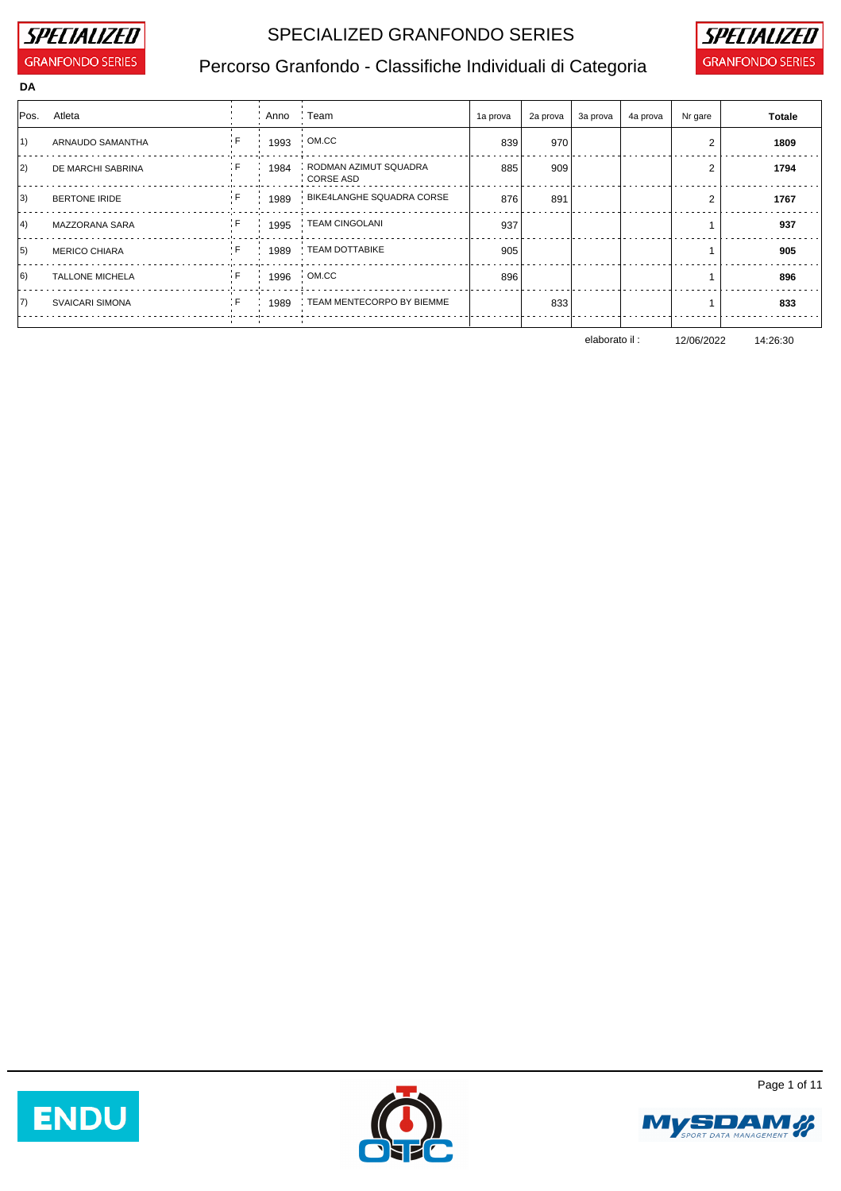

### SPECIALIZED GRANFONDO SERIES **SPECIALIZED**



## Percorso Granfondo - Classifiche Individuali di Categoria **GRANFONDO SERIES**

| DA |  |  |
|----|--|--|
|    |  |  |

|    | Pos. Atleta            |     | Anno Feam |                                           | 1a prova | 2a prova | 3a prova | 4a prova | Nr gare | <b>Totale</b> |
|----|------------------------|-----|-----------|-------------------------------------------|----------|----------|----------|----------|---------|---------------|
| 1) | ARNAUDO SAMANTHA       |     | 1993      | OM.CC                                     | 839      | 970      |          |          |         | 1809          |
| 2) | DE MARCHI SABRINA      | ÷Ε  | 1984      | RODMAN AZIMUT SQUADRA<br><b>CORSE ASD</b> | 885      | 909      |          |          | 2       | 1794          |
| 3) | <b>BERTONE IRIDE</b>   |     |           | 1989 BIKE4LANGHE SQUADRA CORSE            | 876      | 891      |          |          |         | 1767          |
| 4) | MAZZORANA SARA         | ÷F  |           | 1995 FEAM CINGOLANI                       | 937      |          |          |          |         | 937           |
| 5) | <b>MERICO CHIARA</b>   | : F |           | : 1989 : TEAM DOTTABIKE                   | 905      |          |          |          |         | 905           |
| 6) | <b>TALLONE MICHELA</b> | ÷Ε  |           | 1996 OM.CC                                | 896      |          |          |          |         | 896           |
| 7) | <b>SVAICARI SIMONA</b> | ÷Ε  |           | 1989 : TEAM MENTECORPO BY BIEMME          |          | 833      |          |          |         | 833           |
|    |                        |     |           |                                           |          |          |          |          |         |               |

elaborato il : 12/06/2022 14:26:30







Page 1 of 11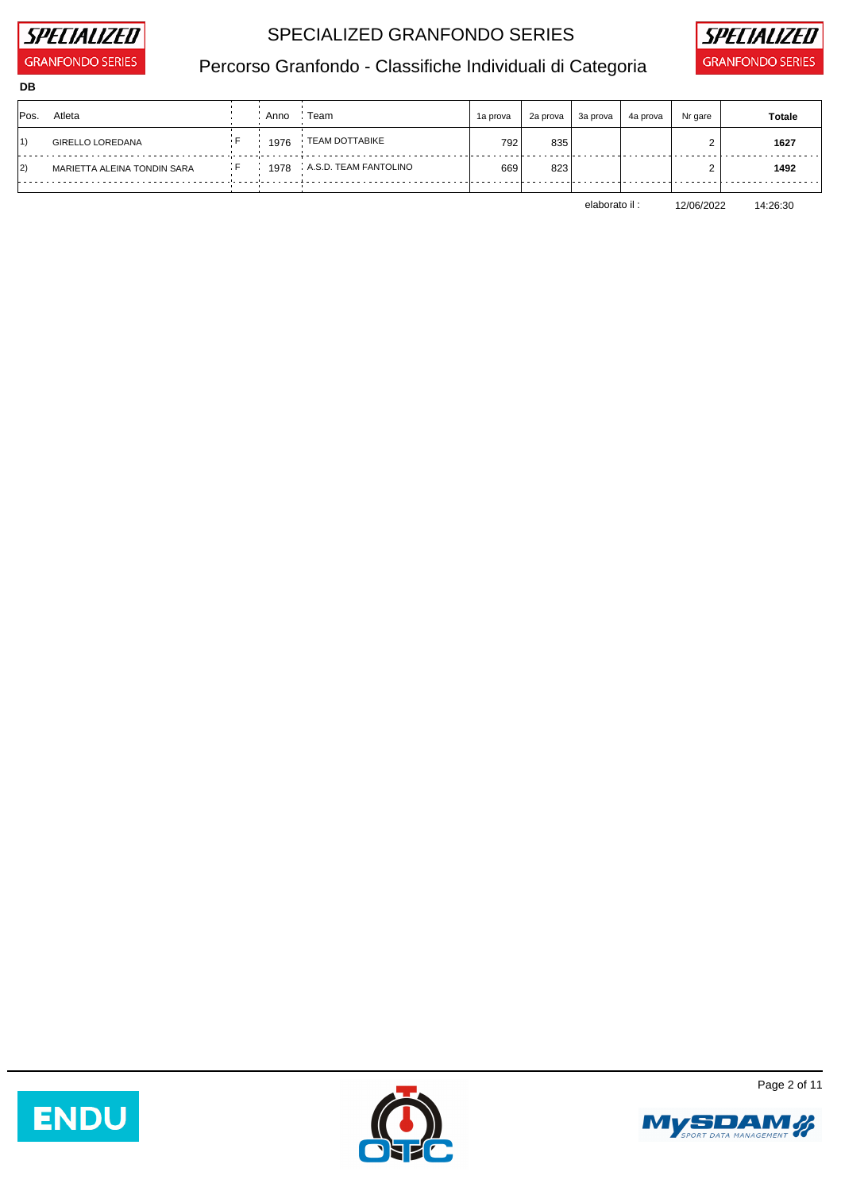

**DB**

## SPECIALIZED GRANFONDO SERIES **SPECIALIZED**



# Percorso Granfondo - Classifiche Individuali di Categoria **GRANFONDO SERIES**

| Pos. | Atleta                      | Anno | Team                  | 1a prova | 2a prova | 3a prova | 4a prova | Nr gare | <b>Totale</b> |
|------|-----------------------------|------|-----------------------|----------|----------|----------|----------|---------|---------------|
| 1)   | <b>GIRELLO LOREDANA</b>     | 1976 | TEAM DOTTABIKE        | 792      | 835      |          |          |         | 1627          |
| 2)   | MARIETTA ALEINA TONDIN SARA | 1978 | A.S.D. TEAM FANTOLINO | 669      | 823      |          |          |         | 1492          |
|      |                             |      |                       |          |          |          |          |         |               |

elaborato il : 12/06/2022 14:26:30







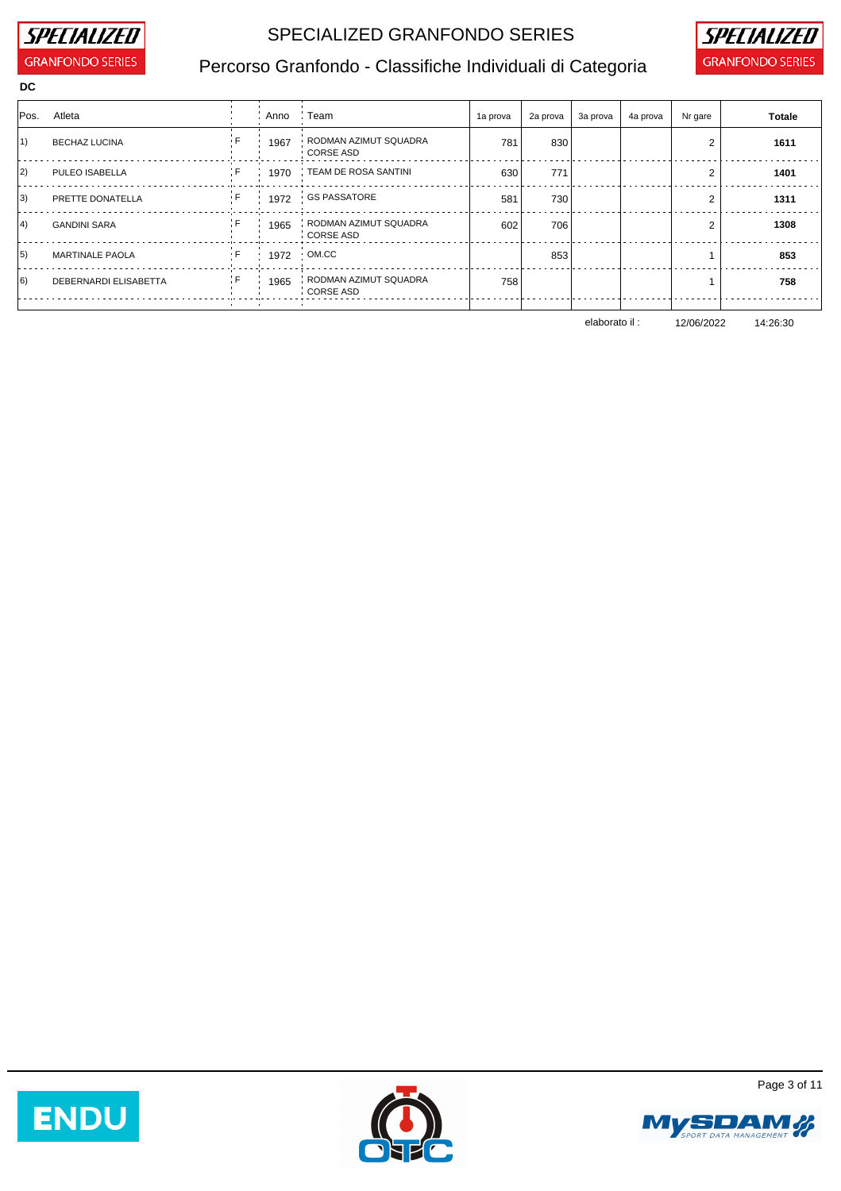

### SPECIALIZED GRANFONDO SERIES **SPECIALIZED**



# Percorso Granfondo - Classifiche Individuali di Categoria **GRANFONDO SERIES**

| Pos.              | Atleta                 |     | Anno : Team |                                             | 1a prova | 2a prova | 3a prova | 4a prova | Nr gare        | <b>Totale</b> |
|-------------------|------------------------|-----|-------------|---------------------------------------------|----------|----------|----------|----------|----------------|---------------|
|                   |                        |     |             |                                             |          |          |          |          |                |               |
| 1)                | <b>BECHAZ LUCINA</b>   |     |             | 1967 : RODMAN AZIMUT SQUADRA<br>⋅ CORSE ASD | 781      | 830      |          |          | $\overline{2}$ | 1611          |
| 2)                | PULEO ISABELLA         | ÷F. | - 10        | 1970 FEAM DE ROSA SANTINI                   | 630      | 771      |          |          | 2              | 1401          |
| 3)                | PRETTE DONATELLA       | ÷ F |             | 1972 GS PASSATORE                           | 581      | 730      |          |          | 2              | 1311          |
| $ 4\rangle$       | <b>GANDINI SARA</b>    | ÷E  | <b>COL</b>  | 1965 RODMAN AZIMUT SQUADRA<br>CORSE ASD     | 602      | 706      |          |          | 2              | 1308          |
| $\vert 5 \rangle$ | <b>MARTINALE PAOLA</b> |     |             | 1972 OM.CC                                  |          | 853      |          |          |                | 853           |
| $ 6\rangle$       | DEBERNARDI ELISABETTA  | ÷F. | $\sim$      | 1965 RODMAN AZIMUT SQUADRA<br>CORSE ASD     | 758      |          |          |          |                | 758           |

elaborato il : 12/06/2022 14:26:30







Page 3 of 11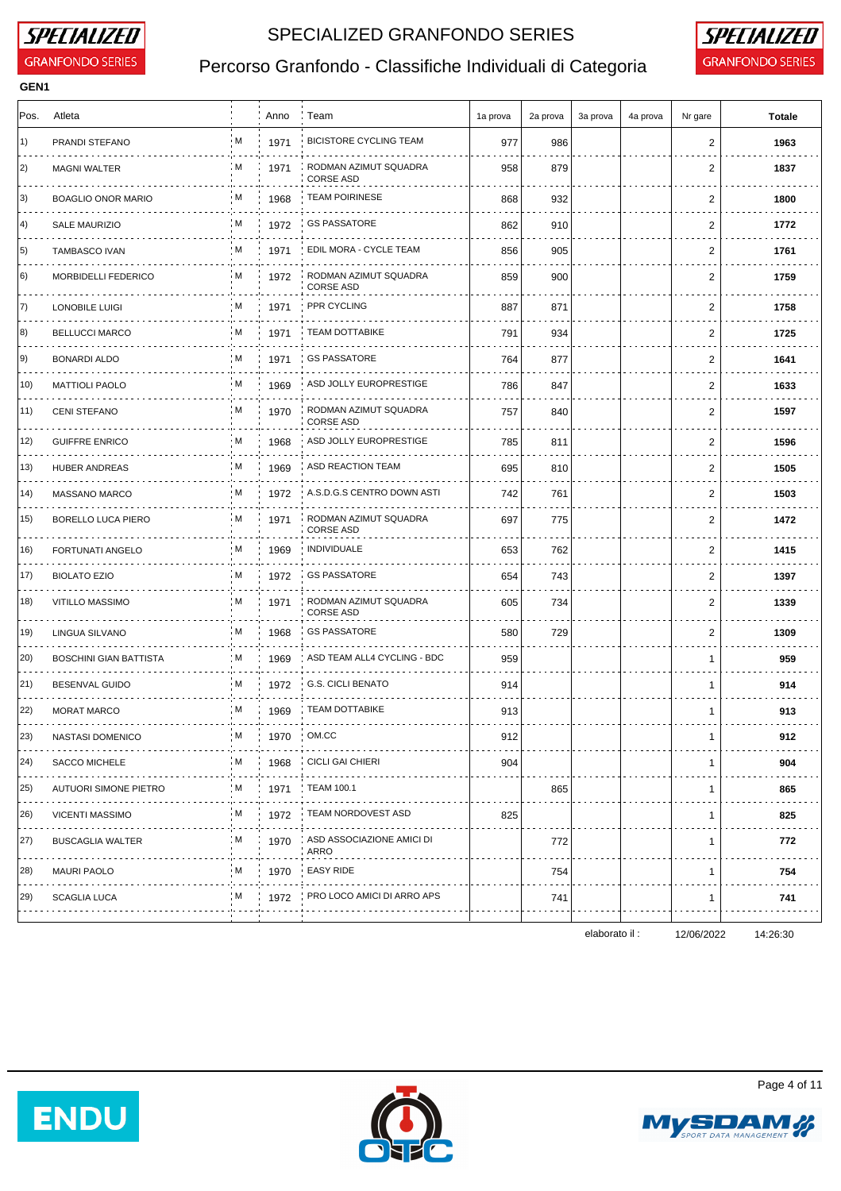

**GEN1**

### SPECIALIZED GRANFONDO SERIES **SPECIALIZED**



# Percorso Granfondo - Classifiche Individuali di Categoria **GRANFONDO SERIES**

| Pos.         | Atleta                            |     | Anno                 | ∶ Team                                    | 1a prova | 2a prova | 3a prova       | 4a prova | Nr gare      | <b>Totale</b> |
|--------------|-----------------------------------|-----|----------------------|-------------------------------------------|----------|----------|----------------|----------|--------------|---------------|
| 1)           | PRANDI STEFANO                    | ۰M  | 1971                 | <b>BICISTORE CYCLING TEAM</b>             | 977      | 986      |                |          | 2            | 1963          |
| 2)           | <b>MAGNI WALTER</b>               | : M | 1971                 | RODMAN AZIMUT SQUADRA<br><b>CORSE ASD</b> | 958      | 879      |                |          | 2            | 1837          |
| 3)           | <b>BOAGLIO ONOR MARIO</b><br>.    | ۰M  | 1968                 | <b>TEAM POIRINESE</b>                     | 868      | 932      |                |          | 2            | 1800          |
| $ 4\rangle$  | <b>SALE MAURIZIO</b>              | : M | 1972                 | <b>GS PASSATORE</b>                       | 862      | 910      |                |          | 2            | 1772          |
| 5)           | <b>TAMBASCO IVAN</b>              | : M | 1971                 | EDIL MORA - CYCLE TEAM                    | 856      | 905      |                |          | 2            | 1761          |
| 6)           | MORBIDELLI FEDERICO               | M.  | 1972                 | RODMAN AZIMUT SQUADRA<br><b>CORSE ASD</b> | 859      | 900      |                |          | 2            | 1759          |
| 7)           | <b>LONOBILE LUIGI</b>             | M   | 1971                 | PPR CYCLING                               | 887      | 871      |                |          | 2            | 1758          |
| 8)           | <b>BELLUCCI MARCO</b><br>.        | . M | 1971                 | <b>TEAM DOTTABIKE</b>                     | 791      | 934      |                |          | 2            | 1725          |
| 9)           | <b>BONARDI ALDO</b>               | ; M | 1971                 | <b>GS PASSATORE</b>                       | 764      | 877      |                |          | 2            | 1641          |
| 10)          | <b>MATTIOLI PAOLO</b>             | ۰M  | 1969                 | ASD JOLLY EUROPRESTIGE                    | 786      | 847      |                |          | 2            | 1633          |
| 11)          | <b>CENI STEFANO</b>               | : M | 1970                 | RODMAN AZIMUT SQUADRA<br><b>CORSE ASD</b> | 757      | 840      |                |          | 2            | 1597          |
| 12)          | <b>GUIFFRE ENRICO</b>             | ۰M  | 1968                 | ASD JOLLY EUROPRESTIGE                    | 785      | 811      |                |          | 2            | 1596          |
| 13)          | HUBER ANDREAS                     | : M | 1969                 | ASD REACTION TEAM                         | 695      | 810      |                |          | 2            | 1505          |
| 14)          | MASSANO MARCO                     | M   | 1972                 | A.S.D.G.S CENTRO DOWN ASTI                | 742      | 761      |                |          | 2            | 1503          |
| 15)          | <b>BORELLO LUCA PIERO</b>         | i M | 1971                 | RODMAN AZIMUT SQUADRA<br><b>CORSE ASD</b> | 697      | 775      |                |          | 2            | 1472          |
| 16)          | FORTUNATI ANGELO                  | : M | 1969                 | INDIVIDUALE                               | 653      | 762      |                |          | 2            | 1415          |
| 17)          | <b>BIOLATO EZIO</b>               | . M | 1972<br>$\mathbf{r}$ | <b>GS PASSATORE</b>                       | 654      | 743      |                |          | 2            | 1397          |
| 18)          | VITILLO MASSIMO                   | M   | 1971                 | RODMAN AZIMUT SQUADRA<br><b>CORSE ASD</b> | 605      | 734      |                |          | 2            | 1339          |
| 19)          | LINGUA SILVANO                    | i M | 1968                 | <b>GS PASSATORE</b>                       | 580      | 729      |                |          | 2            | 1309          |
| 20)          | <b>BOSCHINI GIAN BATTISTA</b>     | : M | 1969                 | ASD TEAM ALL4 CYCLING - BDC               | 959      |          |                |          | $\mathbf{1}$ | 959           |
| 21)          | <b>BESENVAL GUIDO</b>             | ۰M  | 1972                 | G.S. CICLI BENATO                         | 914      |          |                |          | 1            | 914           |
| 22)          | <b>MORAT MARCO</b><br>.           | : M | 1969                 | TEAM DOTTABIKE                            | 913      |          |                |          | $\mathbf{1}$ | 913           |
| $ 23\rangle$ | NASTASI DOMENICO                  |     | M 1970 OM.CC         |                                           | 912      |          |                |          |              | 912           |
| 24)          | SACCO MICHELE                     | . M |                      | 1968 CICLI GAI CHIERI                     | 904      |          |                |          | -1           | 904           |
| 25)          | <b>AUTUORI SIMONE PIETRO</b><br>. | ; M | 1971                 | <b>TEAM 100.1</b>                         |          | 865      |                |          | $\mathbf{1}$ | 865           |
| 26)          | <b>VICENTI MASSIMO</b>            | ۰M  | 1972                 | TEAM NORDOVEST ASD                        | 825      |          |                |          | $\mathbf{1}$ | 825           |
| 27)          | <b>BUSCAGLIA WALTER</b>           | : M | 1970                 | ASD ASSOCIAZIONE AMICI DI<br>ARRO         |          | 772      |                |          | $\mathbf{1}$ | 772           |
| 28)          | <b>MAURI PAOLO</b>                | M   |                      | 1970 EASY RIDE                            |          | 754      |                |          | $\mathbf{1}$ | 754           |
| 29)          | <b>SCAGLIA LUCA</b>               | , M |                      | 1972 PRO LOCO AMICI DI ARRO APS           |          | 741      |                |          | -1           | 741           |
|              |                                   |     |                      |                                           |          |          | elaborato il : |          | 12/06/2022   | 14:26:30      |

Page 4 of 11





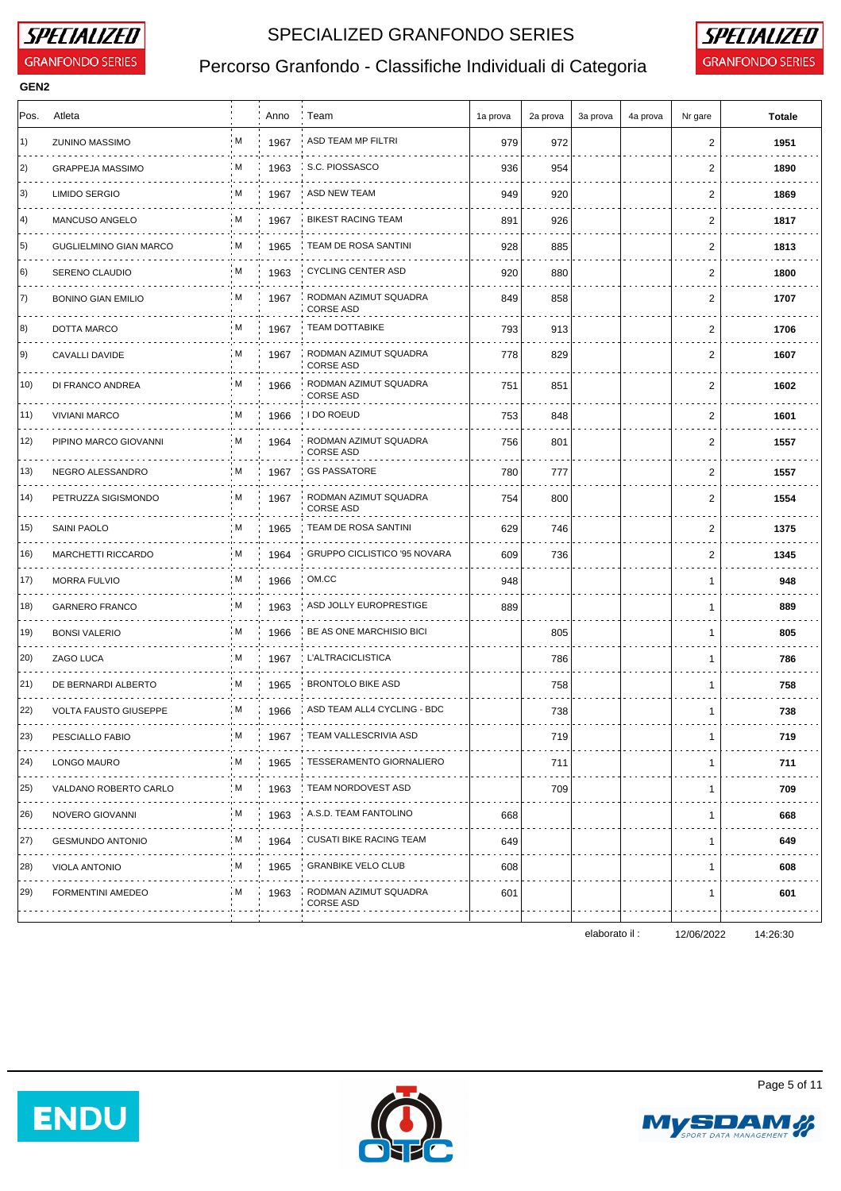

**GEN2**

### SPECIALIZED GRANFONDO SERIES **SPECIALIZED**



# Percorso Granfondo - Classifiche Individuali di Categoria **GRANFONDO SERIES**

| Pos. | Atleta                             |     | Anno | : Team                                    | 1a prova | 2a prova | 3a prova | 4a prova | Nr gare        | <b>Totale</b> |
|------|------------------------------------|-----|------|-------------------------------------------|----------|----------|----------|----------|----------------|---------------|
| 1)   | <b>ZUNINO MASSIMO</b>              | ۰M  | 1967 | ASD TEAM MP FILTRI                        | 979      | 972      |          |          | 2              | 1951          |
| 2)   | <b>GRAPPEJA MASSIMO</b>            | : M | 1963 | S.C. PIOSSASCO                            | 936      | 954      |          |          | 2              | 1890          |
| 3)   | <b>LIMIDO SERGIO</b><br>.          | M   | 1967 | ASD NEW TEAM                              | 949      | 920      |          |          | $\overline{2}$ | 1869          |
| 4)   | MANCUSO ANGELO<br>.                | M   | 1967 | <b>BIKEST RACING TEAM</b>                 | 891      | 926      |          |          | 2              | 1817          |
| 5)   | <b>GUGLIELMINO GIAN MARCO</b><br>. | : M | 1965 | TEAM DE ROSA SANTINI                      | 928      | 885      |          |          | 2              | 1813          |
| 6)   | SERENO CLAUDIO                     | ۰M  | 1963 | <b>CYCLING CENTER ASD</b>                 | 920      | 880      |          |          | 2              | 1800          |
| 7)   | <b>BONINO GIAN EMILIO</b>          | M   | 1967 | RODMAN AZIMUT SQUADRA<br><b>CORSE ASD</b> | 849      | 858      |          |          | 2              | 1707          |
| 8)   | DOTTA MARCO                        | · Μ | 1967 | <b>TEAM DOTTABIKE</b>                     | 793      | 913      |          |          | 2              | 1706          |
| 9)   | CAVALLI DAVIDE                     | : M | 1967 | RODMAN AZIMUT SQUADRA<br><b>CORSE ASD</b> | 778      | 829      |          |          | 2              | 1607          |
| 10)  | DI FRANCO ANDREA                   | M   | 1966 | RODMAN AZIMUT SQUADRA<br><b>CORSE ASD</b> | 751      | 851      |          |          | 2              | 1602          |
| 11)  | <b>VIVIANI MARCO</b>               | ; M | 1966 | I DO ROEUD                                | 753      | 848      |          |          | 2              | 1601          |
| 12)  | PIPINO MARCO GIOVANNI              | M   | 1964 | RODMAN AZIMUT SQUADRA<br><b>CORSE ASD</b> | 756      | 801      |          |          | 2              | 1557          |
| 13)  | NEGRO ALESSANDRO<br>.              | M   | 1967 | <b>GS PASSATORE</b>                       | 780      | 777      |          |          | 2              | 1557          |
| 14)  | PETRUZZA SIGISMONDO                | ۰M  | 1967 | RODMAN AZIMUT SQUADRA<br><b>CORSE ASD</b> | 754      | 800      |          |          | 2              | 1554          |
| 15)  | SAINI PAOLO                        | : M | 1965 | TEAM DE ROSA SANTINI                      | 629      | 746      |          |          | 2              | 1375          |
| 16)  | MARCHETTI RICCARDO                 | M   | 1964 | GRUPPO CICLISTICO '95 NOVARA              | 609      | 736      |          |          | $\overline{2}$ | 1345          |
| 17)  | <b>MORRA FULVIO</b>                | : M | 1966 | OM.CC                                     | 948      |          |          |          | 1              | 948           |
| 18)  | <b>GARNERO FRANCO</b>              | : M | 1963 | ASD JOLLY EUROPRESTIGE                    | 889      |          |          |          | $\mathbf 1$    | 889           |
| 19)  | <b>BONSI VALERIO</b>               | . M | 1966 | BE AS ONE MARCHISIO BICI                  |          | 805      |          |          | $\mathbf 1$    | 805           |
| 20)  | ZAGO LUCA<br>.                     | : M | 1967 | <b>L'ALTRACICLISTICA</b>                  |          | 786      |          |          | $\mathbf{1}$   | 786           |
| 21)  | DE BERNARDI ALBERTO                | ۰M  | 1965 | <b>BRONTOLO BIKE ASD</b>                  |          | 758      |          |          | $\mathbf 1$    | 758           |
| (22) | <b>VOLTA FAUSTO GIUSEPPE</b>       | : M | 1966 | ASD TEAM ALL4 CYCLING - BDC               |          | 738      |          |          | $\mathbf 1$    | 738           |
| 23)  | PESCIALLO FABIO                    | : M | 1967 | TEAM VALLESCRIVIA ASD                     |          | 719      |          |          | 1              | 719           |
| 24)  | LONGO MAURO                        | . M | 1965 | <b>TESSERAMENTO GIORNALIERO</b>           |          | 711      |          |          | -1             | 711           |
| 25)  | VALDANO ROBERTO CARLO              | ; M | 1963 | TEAM NORDOVEST ASD                        |          | 709      |          |          | $\mathbf{1}$   | 709           |
| 26)  | NOVERO GIOVANNI<br>.               | ۰M  | 1963 | A.S.D. TEAM FANTOLINO<br>.                | 668      |          |          |          | -1             | 668           |
| 27)  | <b>GESMUNDO ANTONIO</b>            | : M | 1964 | <b>CUSATI BIKE RACING TEAM</b>            | 649      |          |          |          | 1              | 649           |
| 28)  | <b>VIOLA ANTONIO</b>               | : M | 1965 | <b>GRANBIKE VELO CLUB</b>                 | 608      |          |          |          | -1             | 608           |
| 29)  | FORMENTINI AMEDEO                  | . M | 1963 | RODMAN AZIMUT SQUADRA<br><b>CORSE ASD</b> | 601      |          |          |          | 1              | 601           |

elaborato il : 12/06/2022 14:26:30

Page 5 of 11





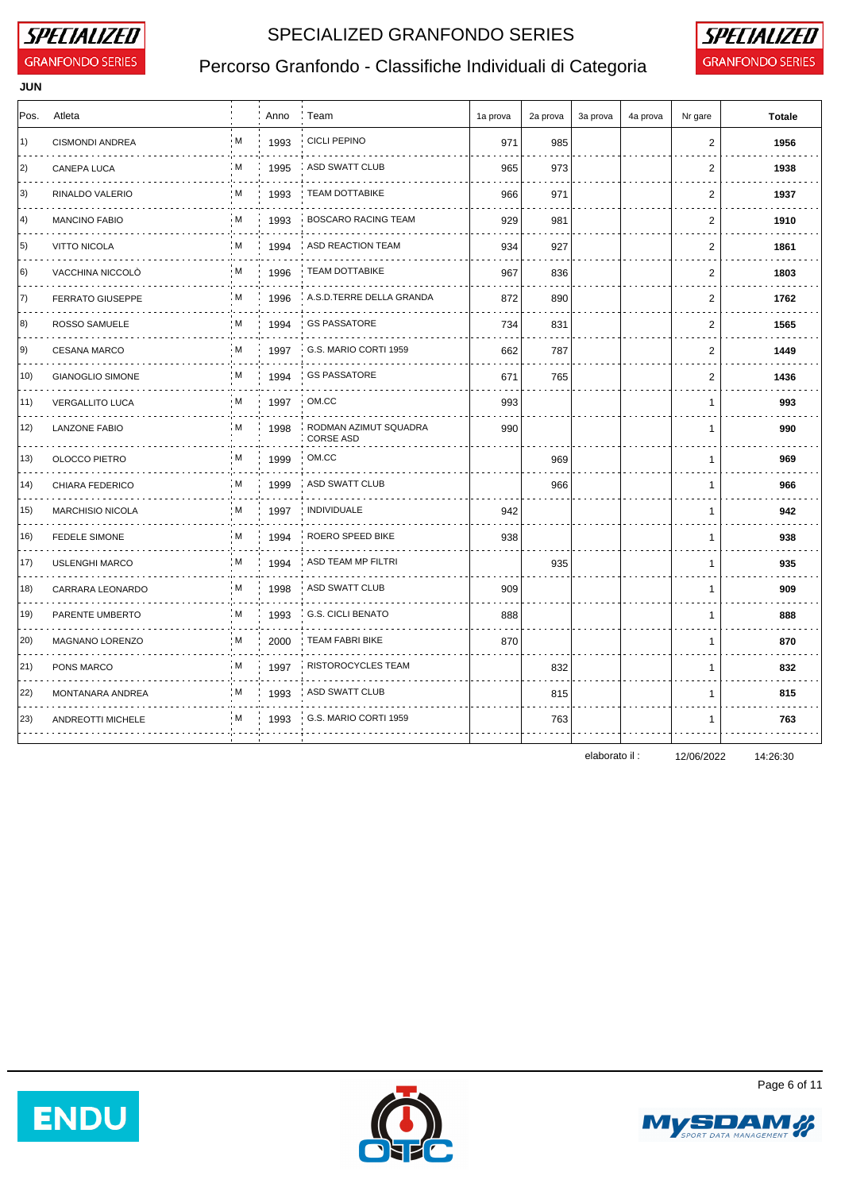

**JUN**

## SPECIALIZED GRANFONDO SERIES **SPECIALIZED**



# Percorso Granfondo - Classifiche Individuali di Categoria **GRANFONDO SERIES**

| Pos.              | Atleta                       |     | Anno | : Team                                    | 1a prova | 2a prova | 3a prova | 4a prova | Nr gare        | <b>Totale</b> |
|-------------------|------------------------------|-----|------|-------------------------------------------|----------|----------|----------|----------|----------------|---------------|
| 1)                | CISMONDI ANDREA              | M   | 1993 | <b>CICLI PEPINO</b>                       | 971      | 985      |          |          | $\overline{c}$ | 1956          |
| 2)                | <b>CANEPA LUCA</b>           | : M | 1995 | ASD SWATT CLUB                            | 965      | 973      |          |          | 2              | 1938          |
| 3)                | RINALDO VALERIO<br>.         | M   | 1993 | <b>TEAM DOTTABIKE</b>                     | 966      | 971      |          |          | $\overline{c}$ | 1937          |
| 4)                | <b>MANCINO FABIO</b>         | M   | 1993 | <b>BOSCARO RACING TEAM</b>                | 929      | 981      |          |          | $\overline{c}$ | 1910          |
| 5)                | <b>VITTO NICOLA</b><br>.     | : M | 1994 | ASD REACTION TEAM                         | 934      | 927      |          |          | $\overline{2}$ | 1861          |
| 6)                | VACCHINA NICCOLO             | ۰M  | 1996 | <b>TEAM DOTTABIKE</b>                     | 967      | 836      |          |          | 2              | 1803          |
| 7)                | <b>FERRATO GIUSEPPE</b><br>. | : M | 1996 | A.S.D.TERRE DELLA GRANDA                  | 872      | 890      |          |          | 2              | 1762          |
| 8)                | ROSSO SAMUELE<br>.           | : M | 1994 | <b>GS PASSATORE</b>                       | 734      | 831      |          |          | 2              | 1565          |
| 9)                | <b>CESANA MARCO</b><br>.     | M.  | 1997 | G.S. MARIO CORTI 1959                     | 662      | 787      |          |          | 2              | 1449          |
| 10)               | <b>GIANOGLIO SIMONE</b>      | : M | 1994 | <b>GS PASSATORE</b>                       | 671      | 765      |          |          | $\mathbf{2}$   | 1436          |
| 11)               | <b>VERGALLITO LUCA</b>       | ۰M  | 1997 | OM.CC                                     | 993      |          |          |          | $\mathbf 1$    | 993           |
| 12)               | <b>LANZONE FABIO</b>         | M   | 1998 | RODMAN AZIMUT SQUADRA<br><b>CORSE ASD</b> | 990      |          |          |          | $\mathbf 1$    | 990           |
| 13)               | OLOCCO PIETRO                | M   | 1999 | OM.CC                                     |          | 969      |          |          | $\mathbf{1}$   | 969           |
| 14)               | CHIARA FEDERICO              | : M | 1999 | <b>ASD SWATT CLUB</b>                     |          | 966      |          |          | $\mathbf 1$    | 966           |
| 15)<br>$\sim 100$ | <b>MARCHISIO NICOLA</b>      | M   | 1997 | <b>INDIVIDUALE</b>                        | 942      |          |          |          | $\mathbf{1}$   | 942           |
| 16)               | <b>FEDELE SIMONE</b>         | M.  | 1994 | ROERO SPEED BIKE                          | 938      |          |          |          | -1             | 938           |
| 17)               | <b>USLENGHI MARCO</b>        | M   | 1994 | ASD TEAM MP FILTRI                        |          | 935      |          |          | $\mathbf{1}$   | 935           |
| 18)               | CARRARA LEONARDO             | ۰M  | 1998 | ASD SWATT CLUB                            | 909      |          |          |          | -1             | 909           |
| 19)               | <b>PARENTE UMBERTO</b>       | : M | 1993 | <b>G.S. CICLI BENATO</b>                  | 888      |          |          |          | $\mathbf{1}$   | 888           |
| 20)               | <b>MAGNANO LORENZO</b>       | M   | 2000 | <b>TEAM FABRI BIKE</b>                    | 870      |          |          |          | $\mathbf 1$    | 870           |
| 21)               | PONS MARCO<br>.              | i M | 1997 | RISTOROCYCLES TEAM                        |          | 832      |          |          | $\mathbf{1}$   | 832           |
| 22)               | MONTANARA ANDREA             | : M | 1993 | ASD SWATT CLUB                            |          | 815      |          |          | -1             | 815           |
| 23)               | ANDREOTTI MICHELE            | M   | 1993 | G.S. MARIO CORTI 1959                     |          | 763      |          |          | $\mathbf{1}$   | 763           |
|                   |                              |     |      |                                           |          |          |          |          |                |               |

elaborato il : 12/06/2022 14:26:30





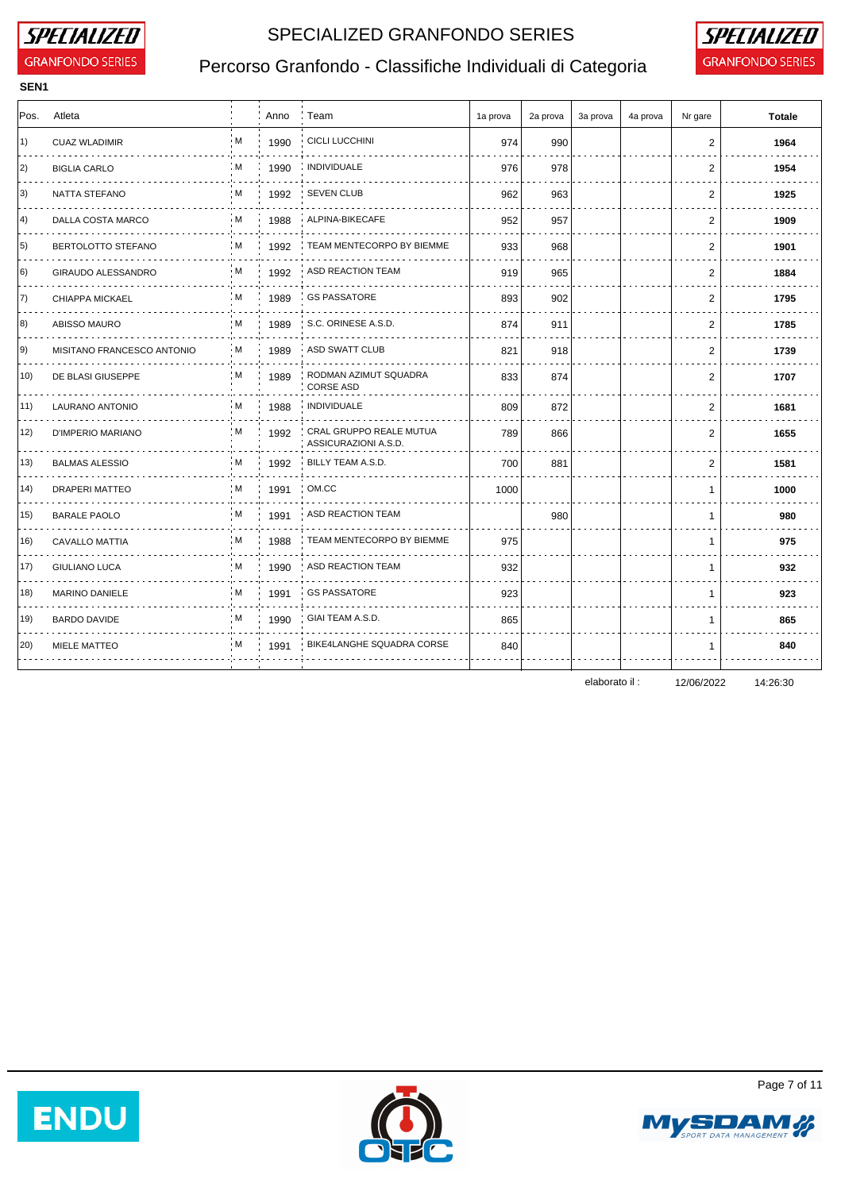

**SEN1**

## SPECIALIZED GRANFONDO SERIES **SPECIALIZED**



# Percorso Granfondo - Classifiche Individuali di Categoria **GRANFONDO SERIES**

| Pos. | Atleta                     |           | Anno | Team                                            | 1a prova | 2a prova | 3a prova | 4a prova | Nr gare        | <b>Totale</b> |
|------|----------------------------|-----------|------|-------------------------------------------------|----------|----------|----------|----------|----------------|---------------|
| 1)   | <b>CUAZ WLADIMIR</b>       | ۰M        | 1990 | <b>CICLI LUCCHINI</b>                           | 974      | 990      |          |          | 2              | 1964          |
| 2)   | <b>BIGLIA CARLO</b>        | : M       | 1990 | <b>INDIVIDUALE</b>                              | 976      | 978      |          |          | 2              | 1954          |
| 3)   | NATTA STEFANO              | : M       | 1992 | <b>SEVEN CLUB</b>                               | 962      | 963      |          |          | 2              | 1925          |
| 4)   | DALLA COSTA MARCO          | ∘M.       | 1988 | ALPINA-BIKECAFE                                 | 952      | 957      |          |          | 2              | 1909          |
| 5)   | BERTOLOTTO STEFANO         | : M       | 1992 | TEAM MENTECORPO BY BIEMME                       | 933      | 968      |          |          | $\mathbf{2}$   | 1901          |
| 6)   | GIRAUDO ALESSANDRO         | ۰M        | 1992 | ASD REACTION TEAM                               | 919      | 965      |          |          | 2              | 1884          |
| 7)   | CHIAPPA MICKAEL            | ∶ M       | 1989 | <b>GS PASSATORE</b>                             | 893      | 902      |          |          | 2              | 1795          |
| 8)   | <b>ABISSO MAURO</b>        | : M       | 1989 | S.C. ORINESE A.S.D.                             | 874      | 911      |          |          | $\overline{2}$ | 1785          |
| 9)   | MISITANO FRANCESCO ANTONIO | $\cdot$ M | 1989 | ASD SWATT CLUB                                  | 821      | 918      |          |          | 2              | 1739          |
| 10)  | DE BLASI GIUSEPPE          | : M       | 1989 | RODMAN AZIMUT SQUADRA<br><b>CORSE ASD</b>       | 833      | 874      |          |          | 2              | 1707          |
| 11)  | <b>LAURANO ANTONIO</b>     | i M       | 1988 | <b>INDIVIDUALE</b>                              | 809      | 872      |          |          | $\mathbf{2}$   | 1681          |
| 12)  | D'IMPERIO MARIANO          | : M       | 1992 | CRAL GRUPPO REALE MUTUA<br>ASSICURAZIONI A.S.D. | 789      | 866      |          |          | 2              | 1655          |
| 13)  | <b>BALMAS ALESSIO</b>      | ÷M.       | 1992 | BILLY TEAM A.S.D.                               | 700      | 881      |          |          | 2              | 1581          |
| 14)  | <b>DRAPERI MATTEO</b>      | : M       | 1991 | OM.CC                                           | 1000     |          |          |          | 1              | 1000          |
| 15)  | <b>BARALE PAOLO</b>        | ۰M        | 1991 | ASD REACTION TEAM                               |          | 980      |          |          | $\mathbf{1}$   | 980           |
| 16)  | <b>CAVALLO MATTIA</b>      | : M       | 1988 | TEAM MENTECORPO BY BIEMME                       | 975      |          |          |          | $\mathbf{1}$   | 975           |
| 17)  | <b>GIULIANO LUCA</b>       | : M       | 1990 | ASD REACTION TEAM                               | 932      |          |          |          | $\mathbf{1}$   | 932           |
| 18)  | <b>MARINO DANIELE</b>      | ÷M.       | 1991 | <b>GS PASSATORE</b>                             | 923      |          |          |          | 1              | 923           |
| 19)  | <b>BARDO DAVIDE</b>        | : M       | 1990 | GIAI TEAM A.S.D.                                | 865      |          |          |          | $\mathbf{1}$   | 865           |
| 20)  | MIELE MATTEO               | M         | 1991 | BIKE4LANGHE SQUADRA CORSE                       | 840      |          |          |          | 1              | 840           |
|      |                            |           |      |                                                 |          |          |          |          |                |               |

elaborato il : 12/06/2022 14:26:30







Page 7 of 11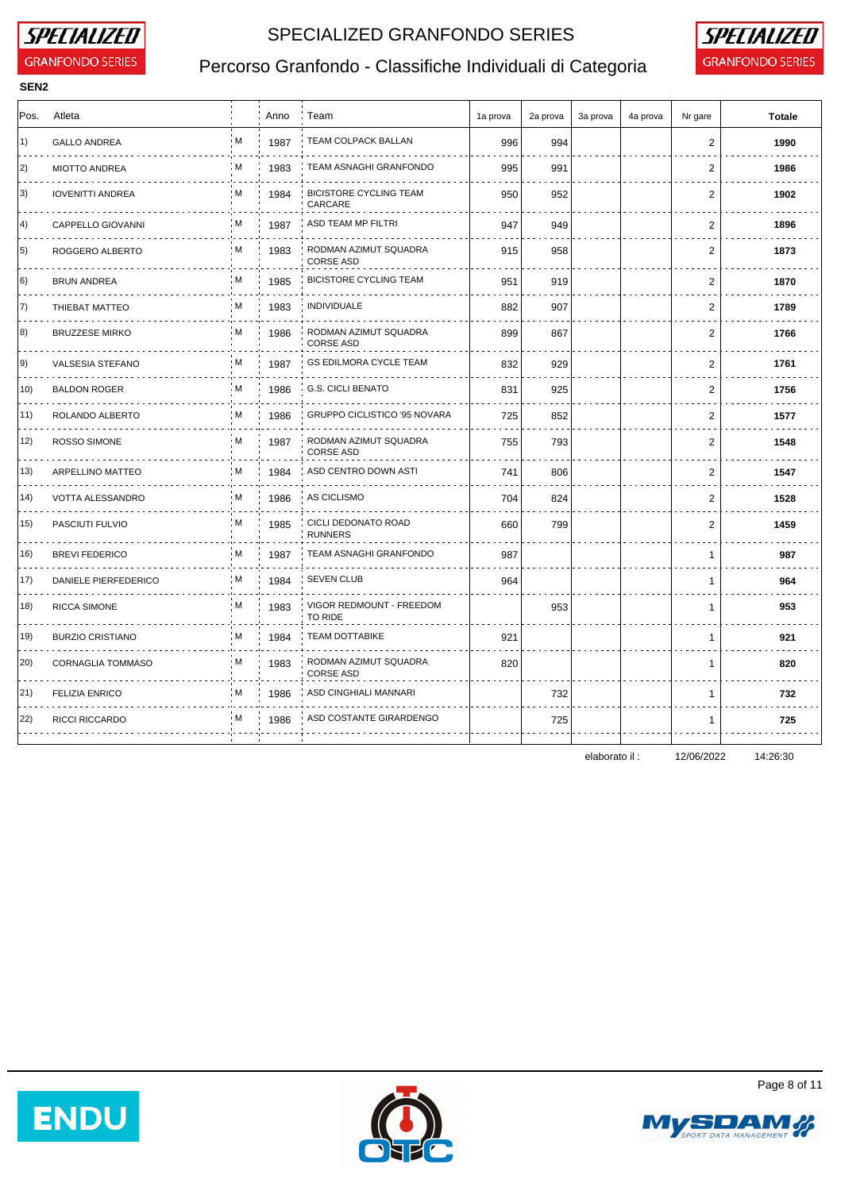

**SEN2**

### SPECIALIZED GRANFONDO SERIES **SPECIALIZED**



# Percorso Granfondo - Classifiche Individuali di Categoria **GRANFONDO SERIES**

| Pos. | Atleta                   |     | Anno | : Team                                    | 1a prova | 2a prova | 3a prova | 4a prova | Nr gare        | <b>Totale</b> |
|------|--------------------------|-----|------|-------------------------------------------|----------|----------|----------|----------|----------------|---------------|
| 1)   | <b>GALLO ANDREA</b>      | M   | 1987 | TEAM COLPACK BALLAN                       | 996      | 994      |          |          | 2              | 1990          |
| 2)   | <b>MIOTTO ANDREA</b>     | : M | 1983 | TEAM ASNAGHI GRANFONDO                    | 995      | 991      |          |          | 2              | 1986          |
| 3)   | <b>IOVENITTI ANDREA</b>  | M   | 1984 | <b>BICISTORE CYCLING TEAM</b><br>CARCARE  | 950      | 952      |          |          | 2              | 1902          |
| 4)   | CAPPELLO GIOVANNI        | : M | 1987 | ASD TEAM MP FILTRI                        | 947      | 949      |          |          | 2              | 1896          |
| 5)   | ROGGERO ALBERTO          | M   | 1983 | RODMAN AZIMUT SQUADRA<br><b>CORSE ASD</b> | 915      | 958      |          |          | 2              | 1873          |
| 6)   | <b>BRUN ANDREA</b>       | : M | 1985 | <b>BICISTORE CYCLING TEAM</b>             | 951      | 919      |          |          | $\overline{2}$ | 1870          |
| 7)   | THIEBAT MATTEO           | M   | 1983 | <b>INDIVIDUALE</b>                        | 882      | 907      |          |          | $\mathbf{2}$   | 1789          |
| 8)   | <b>BRUZZESE MIRKO</b>    | M   | 1986 | RODMAN AZIMUT SQUADRA<br><b>CORSE ASD</b> | 899      | 867      |          |          | 2              | 1766          |
| 9)   | VALSESIA STEFANO         | М   | 1987 | <b>GS EDILMORA CYCLE TEAM</b>             | 832      | 929      |          |          | 2              | 1761          |
| 10)  | <b>BALDON ROGER</b>      | i M | 1986 | <b>G.S. CICLI BENATO</b>                  | 831      | 925      |          |          | 2              | 1756          |
| 11)  | ROLANDO ALBERTO          | M   | 1986 | GRUPPO CICLISTICO '95 NOVARA              | 725      | 852      |          |          | $\overline{2}$ | 1577          |
| 12)  | ROSSO SIMONE             | M   | 1987 | RODMAN AZIMUT SQUADRA<br><b>CORSE ASD</b> | 755      | 793      |          |          | $\mathbf{2}$   | 1548          |
| 13)  | ARPELLINO MATTEO         | M   | 1984 | ASD CENTRO DOWN ASTI                      | 741      | 806      |          |          | 2              | 1547          |
| (14) | VOTTA ALESSANDRO         | M   | 1986 | AS CICLISMO                               | 704      | 824      |          |          | 2              | 1528          |
| 15)  | PASCIUTI FULVIO          | м   | 1985 | CICLI DEDONATO ROAD<br><b>RUNNERS</b>     | 660      | 799      |          |          | 2              | 1459          |
| 16)  | <b>BREVI FEDERICO</b>    | M   | 1987 | TEAM ASNAGHI GRANFONDO                    | 987      |          |          |          | $\mathbf{1}$   | 987           |
| 17)  | DANIELE PIERFEDERICO     | M   | 1984 | <b>SEVEN CLUB</b>                         | 964      |          |          |          | $\mathbf{1}$   | 964           |
| 18)  | RICCA SIMONE             | M   | 1983 | VIGOR REDMOUNT - FREEDOM<br>TO RIDE       |          | 953      |          |          | $\mathbf 1$    | 953           |
| 19)  | <b>BURZIO CRISTIANO</b>  | : M | 1984 | <b>TEAM DOTTABIKE</b>                     | 921      |          |          |          | $\mathbf{1}$   | 921           |
| 20)  | <b>CORNAGLIA TOMMASO</b> | М   | 1983 | RODMAN AZIMUT SQUADRA<br><b>CORSE ASD</b> | 820      |          |          |          | $\mathbf 1$    | 820           |
| 21)  | <b>FELIZIA ENRICO</b>    | M   | 1986 | ASD CINGHIALI MANNARI                     |          | 732      |          |          | $\mathbf{1}$   | 732           |
| 22)  | <b>RICCI RICCARDO</b>    | м   | 1986 | ASD COSTANTE GIRARDENGO                   |          | 725      |          |          | $\mathbf 1$    | 725           |
|      |                          |     |      |                                           |          |          |          |          |                |               |

elaborato il : 12/06/2022 14:26:30







Page 8 of 11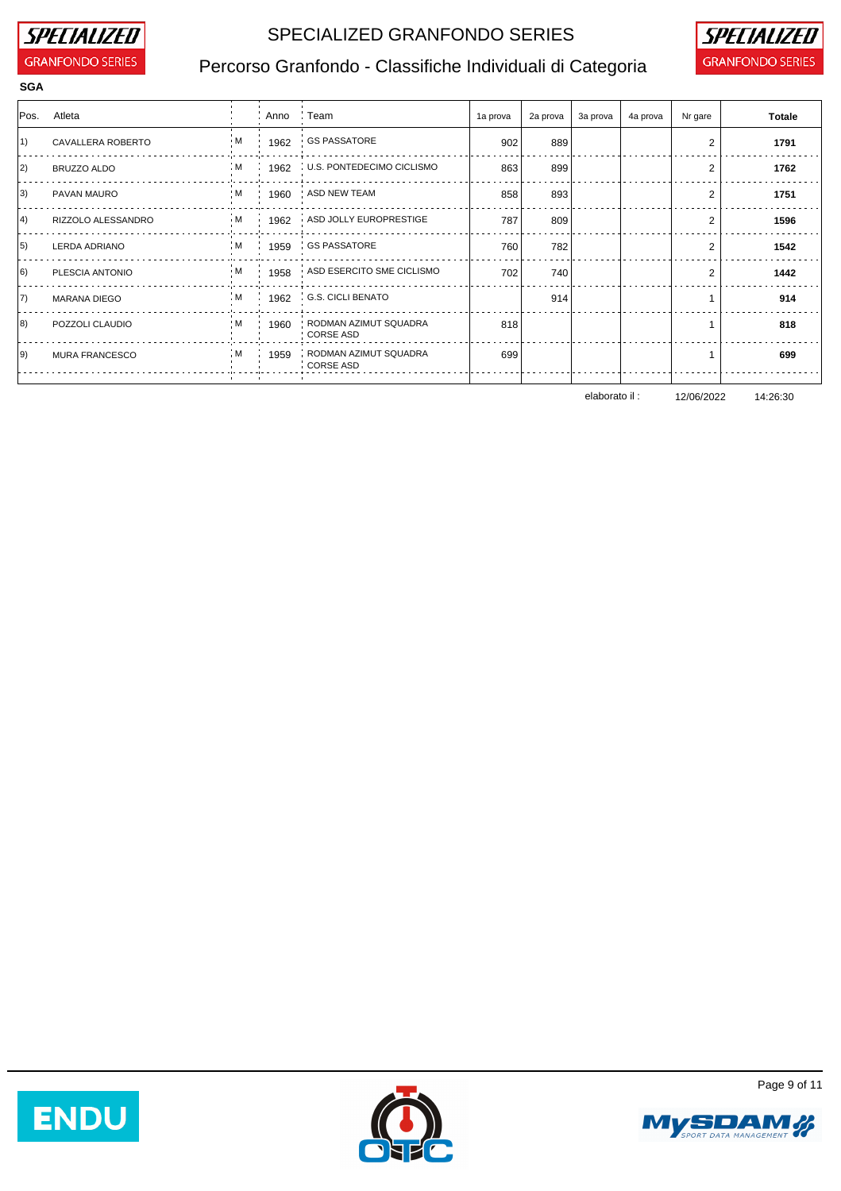

## SPECIALIZED GRANFONDO SERIES **SPECIALIZED**



# Percorso Granfondo - Classifiche Individuali di Categoria **GRANFONDO SERIES**

| <b>SGA</b> |                       |  |           |                                                 |          |              |          |          |                |               |
|------------|-----------------------|--|-----------|-------------------------------------------------|----------|--------------|----------|----------|----------------|---------------|
|            | Pos. Atleta           |  | Anno Team |                                                 | 1a prova | 2a prova $ $ | 3a prova | 4a prova | Nr gare        | <b>Totale</b> |
| 1)         | CAVALLERA ROBERTO     |  |           | M : 1962 GS PASSATORE                           | 902      | 889          |          |          | $\overline{2}$ | 1791          |
| 2)         | BRUZZO ALDO           |  |           | $M$ $1962$ U.S. PONTEDECIMO CICLISMO            | 863      | 899          |          |          | 2              | 1762          |
| 3)         | PAVAN MAURO           |  |           | M 1960 ASD NEW TEAM                             | 858      | 893          |          |          | $\overline{2}$ | 1751          |
| 4)         | RIZZOLO ALESSANDRO    |  |           | M 1962 ASD JOLLY EUROPRESTIGE                   | 787      | 809          |          |          | 2              | 1596          |
| 5)         | LERDA ADRIANO         |  |           | M   1959   GS PASSATORE                         | 760      | 782          |          |          | 2              | 1542          |
| 6)         | PLESCIA ANTONIO       |  |           | M 1958 ASD ESERCITO SME CICLISMO                | 702      | 740          |          |          | 2              | 1442          |
| 7)         | MARANA DIEGO          |  |           | M 1962 G.S. CICLI BENATO                        |          | 914          |          |          |                | 914           |
| 8)         | POZZOLI CLAUDIO       |  |           | M : 1960 : RODMAN AZIMUT SQUADRA<br>: CORSE ASD | 818      |              |          |          |                | 818           |
| 9)         | <b>MURA FRANCESCO</b> |  |           | M 1959 RODMAN AZIMUT SQUADRA<br>CORSE ASD       | 699      |              |          |          |                | 699           |
|            |                       |  |           |                                                 |          |              |          |          |                |               |

elaborato il : 12/06/2022 14:26:30







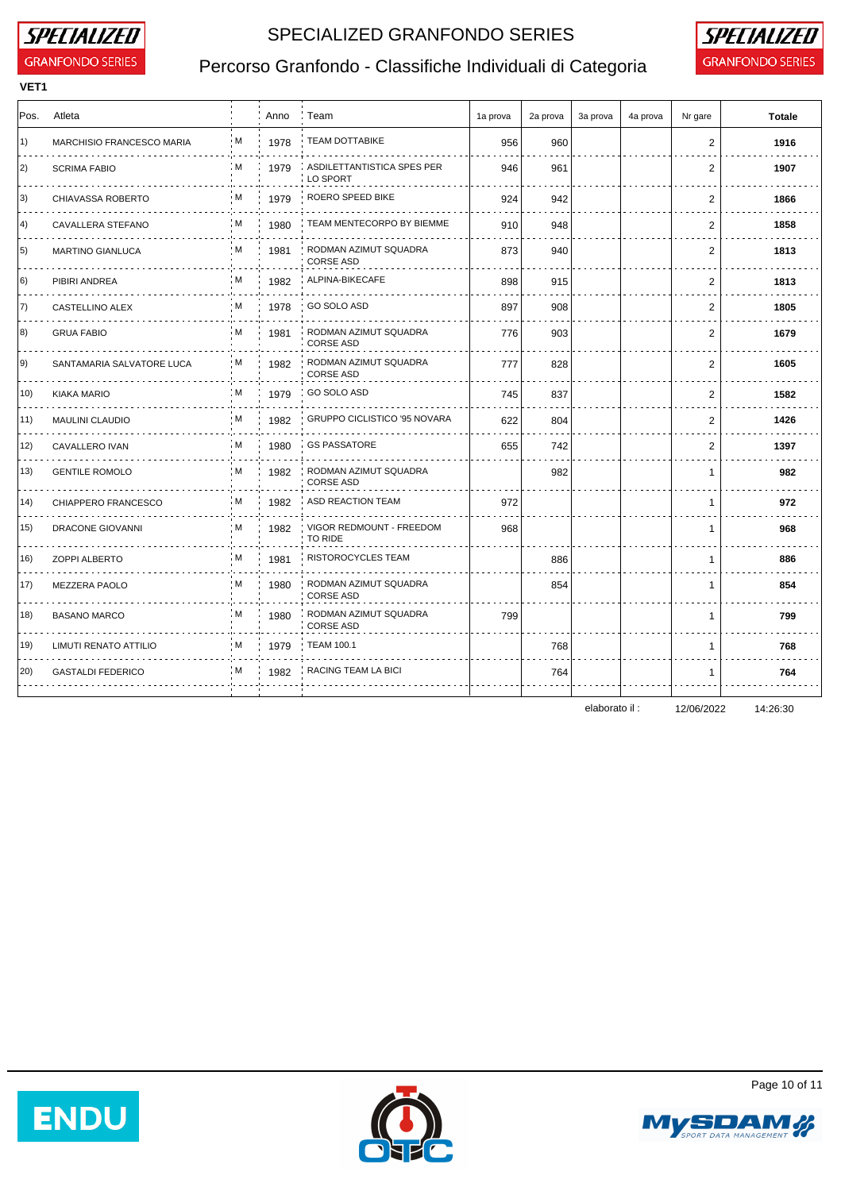

### SPECIALIZED GRANFONDO SERIES **SPECIALIZED**



# Percorso Granfondo - Classifiche Individuali di Categoria **GRANFONDO SERIES**

| <b>VET1</b> |                            |     |      |                                           |          |          |          |          |                |               |
|-------------|----------------------------|-----|------|-------------------------------------------|----------|----------|----------|----------|----------------|---------------|
| Pos.        | Atleta                     |     | Anno | : Team                                    | 1a prova | 2a prova | 3a prova | 4a prova | Nr gare        | <b>Totale</b> |
| 1)          | MARCHISIO FRANCESCO MARIA  | M   | 1978 | <b>TEAM DOTTABIKE</b>                     | 956      | 960      |          |          | $\overline{2}$ | 1916          |
| $ 2\rangle$ | <b>SCRIMA FABIO</b>        | : M | 1979 | ASDILETTANTISTICA SPES PER<br>LO SPORT    | 946      | 961      |          |          | 2              | 1907          |
| 3)          | CHIAVASSA ROBERTO<br>.     | M   | 1979 | ROERO SPEED BIKE                          | 924      | 942      |          |          | 2              | 1866          |
| 4)          | CAVALLERA STEFANO          | M   | 1980 | TEAM MENTECORPO BY BIEMME                 | 910      | 948      |          |          | 2              | 1858          |
| 5)          | <b>MARTINO GIANLUCA</b>    | M   | 1981 | RODMAN AZIMUT SQUADRA<br><b>CORSE ASD</b> | 873      | 940      |          |          | $\overline{2}$ | 1813          |
| 6)          | PIBIRI ANDREA              | : M | 1982 | ALPINA-BIKECAFE                           | 898      | 915      |          |          | 2              | 1813          |
| 7)          | CASTELLINO ALEX            | м   | 1978 | GO SOLO ASD                               | 897      | 908      |          |          | 2              | 1805          |
| 8)          | <b>GRUA FABIO</b>          | M   | 1981 | RODMAN AZIMUT SQUADRA<br><b>CORSE ASD</b> | 776      | 903      |          |          | $\overline{2}$ | 1679          |
| 9)          | SANTAMARIA SALVATORE LUCA  | M   | 1982 | RODMAN AZIMUT SQUADRA<br><b>CORSE ASD</b> | 777      | 828      |          |          | 2              | 1605          |
| 10)         | KIAKA MARIO                | M   | 1979 | GO SOLO ASD                               | 745      | 837      |          |          | $\overline{2}$ | 1582          |
| 11)         | <b>MAULINI CLAUDIO</b>     | ۰M  | 1982 | GRUPPO CICLISTICO '95 NOVARA              | 622      | 804      |          |          | 2              | 1426          |
| 12)         | CAVALLERO IVAN             | i M | 1980 | <b>GS PASSATORE</b>                       | 655      | 742      |          |          | $\overline{2}$ | 1397          |
| 13)         | <b>GENTILE ROMOLO</b><br>. | M   | 1982 | RODMAN AZIMUT SQUADRA<br><b>CORSE ASD</b> |          | 982      |          |          | $\mathbf{1}$   | 982           |
| 14)         | CHIAPPERO FRANCESCO        | i M | 1982 | ASD REACTION TEAM                         | 972      |          |          |          | $\mathbf{1}$   | 972           |
| 15)         | DRACONE GIOVANNI           | м   | 1982 | VIGOR REDMOUNT - FREEDOM<br>TO RIDE       | 968      |          |          |          | $\mathbf{1}$   | 968           |
| 16)         | <b>ZOPPI ALBERTO</b>       | M   | 1981 | RISTOROCYCLES TEAM                        |          | 886      |          |          | $\mathbf{1}$   | 886           |
| 17)         | MEZZERA PAOLO              | M   | 1980 | RODMAN AZIMUT SQUADRA<br><b>CORSE ASD</b> |          | 854      |          |          | $\mathbf{1}$   | 854           |
| 18)         | <b>BASANO MARCO</b>        | M   | 1980 | RODMAN AZIMUT SQUADRA<br><b>CORSE ASD</b> | 799      |          |          |          | $\mathbf{1}$   | 799           |
| 19)         | LIMUTI RENATO ATTILIO      | M   | 1979 | <b>TEAM 100.1</b>                         |          | 768      |          |          | $\mathbf{1}$   | 768           |
| 20)         | <b>GASTALDI FEDERICO</b>   | : M | 1982 | RACING TEAM LA BICI                       |          | 764      |          |          | $\mathbf 1$    | 764           |
|             |                            |     |      |                                           |          |          |          |          |                |               |

elaborato il : 12/06/2022 14:26:30







Page 10 of 11